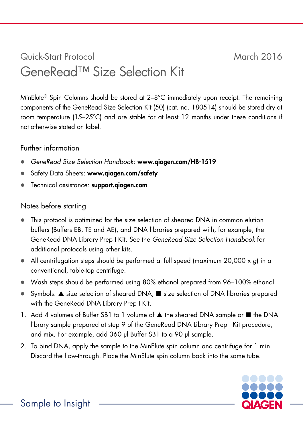## Quick-Start Protocol March 2016 GeneRead™ Size Selection Kit

MinElute® Spin Columns should be stored at 2–8°C immediately upon receipt. The remaining components of the GeneRead Size Selection Kit (50) (cat. no. 180514) should be stored dry at room temperature (15–25ºC) and are stable for at least 12 months under these conditions if not otherwise stated on label.

## Further information

- *GeneRead Size Selection Handbook*: www.qiagen.com/HB-1519
- Safety Data Sheets: www.qiagen.com/safety
- Technical assistance: support.qiagen.com

## Notes before starting

- This protocol is optimized for the size selection of sheared DNA in common elution buffers (Buffers EB, TE and AE), and DNA libraries prepared with, for example, the GeneRead DNA Library Prep I Kit. See the *GeneRead Size Selection Handbook* for additional protocols using other kits.
- All centrifugation steps should be performed at full speed (maximum 20,000 x *g*) in a conventional, table-top centrifuge.
- Wash steps should be performed using 80% ethanol prepared from 96–100% ethanol.
- Symbols:  $\blacktriangle$  size selection of sheared DNA;  $\blacksquare$  size selection of DNA libraries prepared with the GeneRead DNA Library Prep I Kit.
- 1. Add 4 volumes of Buffer SB1 to 1 volume of  $\blacktriangle$  the sheared DNA sample or  $\blacksquare$  the DNA library sample prepared at step 9 of the GeneRead DNA Library Prep I Kit procedure, and mix. For example, add 360 µl Buffer SB1 to a 90 µl sample.
- 2. To bind DNA, apply the sample to the MinElute spin column and centrifuge for 1 min. Discard the flow-through. Place the MinElute spin column back into the same tube.